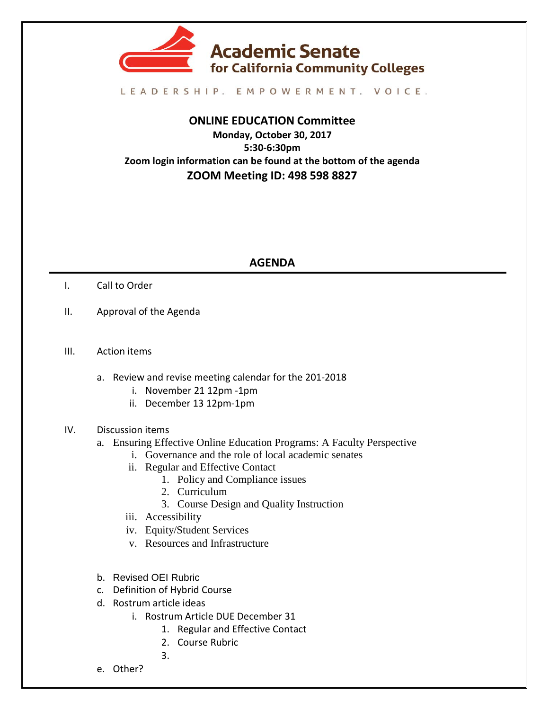

## LEADERSHIP. EMPOWERMENT. VOICE.

## **ONLINE EDUCATION Committee Monday, October 30, 2017 5:30-6:30pm Zoom login information can be found at the bottom of the agenda ZOOM Meeting ID: 498 598 8827**

## **AGENDA**

- I. Call to Order
- II. Approval of the Agenda
- III. Action items
	- a. Review and revise meeting calendar for the 201-2018
		- i. November 21 12pm -1pm
		- ii. December 13 12pm-1pm
- IV. Discussion items
	- a. Ensuring Effective Online Education Programs: A Faculty Perspective
		- i. Governance and the role of local academic senates
		- ii. Regular and Effective Contact
			- 1. Policy and Compliance issues
			- 2. Curriculum
			- 3. Course Design and Quality Instruction
		- iii. Accessibility
		- iv. Equity/Student Services
		- v. Resources and Infrastructure
	- b. Revised OEI Rubric
	- c. Definition of Hybrid Course
	- d. Rostrum article ideas
		- i. Rostrum Article DUE December 31
			- 1. Regular and Effective Contact
			- 2. Course Rubric
			- 3.
	- e. Other?